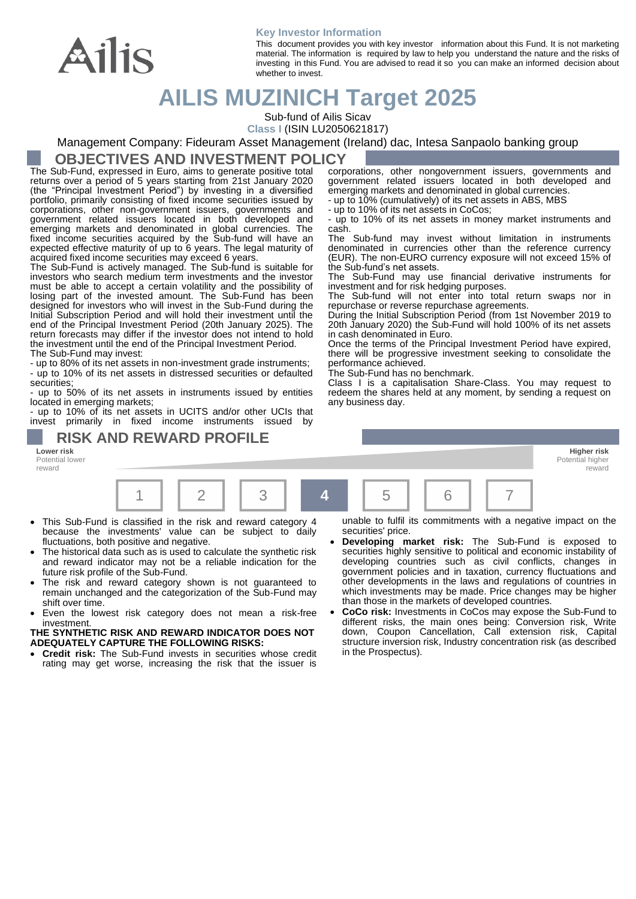

#### **Key Investor Information**

This document provides you with key investor information about this Fund. It is not marketing material. The information is required by law to help you understand the nature and the risks of investing in this Fund. You are advised to read it so you can make an informed decision about whether to invest.

# **AILIS MUZINICH Target 2025**

Sub-fund of Ailis Sicav

**Class I** (ISIN LU2050621817)

Management Company: Fideuram Asset Management (Ireland) dac, Intesa Sanpaolo banking group

### **OBJECTIVES AND INVESTMENT POLICY**

The Sub-Fund, expressed in Euro, aims to generate positive total returns over a period of 5 years starting from 21st January 2020 (the "Principal Investment Period") by investing in a diversified portfolio, primarily consisting of fixed income securities issued by corporations, other non-government issuers, governments and government related issuers located in both developed and emerging markets and denominated in global currencies. The fixed income securities acquired by the Sub-fund will have an expected effective maturity of up to 6 years. The legal maturity of acquired fixed income securities may exceed 6 years.

The Sub-Fund is actively managed. The Sub-fund is suitable for investors who search medium term investments and the investor must be able to accept a certain volatility and the possibility of losing part of the invested amount. The Sub-Fund has been designed for investors who will invest in the Sub-Fund during the Initial Subscription Period and will hold their investment until the end of the Principal Investment Period (20th January 2025). The return forecasts may differ if the investor does not intend to hold the investment until the end of the Principal Investment Period. The Sub-Fund may invest:

- up to 80% of its net assets in non-investment grade instruments; - up to 10% of its net assets in distressed securities or defaulted securities;

 $\cdot$  up to 50% of its net assets in instruments issued by entities located in emerging markets;

- up to 10% of its net assets in UCITS and/or other UCIs that invest primarily in fixed income instruments issued by

**RISK AND REWARD PROFILE** 

**Lower risk Higher risk** Potential lower reward



- This Sub-Fund is classified in the risk and reward category 4 because the investments' value can be subject to daily fluctuations, both positive and negative.
- The historical data such as is used to calculate the synthetic risk and reward indicator may not be a reliable indication for the future risk profile of the Sub-Fund.
- The risk and reward category shown is not guaranteed to remain unchanged and the categorization of the Sub-Fund may shift over time.
- Even the lowest risk category does not mean a risk-free investment.

#### **THE SYNTHETIC RISK AND REWARD INDICATOR DOES NOT ADEQUATELY CAPTURE THE FOLLOWING RISKS:**

• **Credit risk:** The Sub-Fund invests in securities whose credit rating may get worse, increasing the risk that the issuer is unable to fulfil its commitments with a negative impact on the securities' price.

Potential highe reward

- **Developing market risk:** The Sub-Fund is exposed to securities highly sensitive to political and economic instability of developing countries such as civil conflicts, changes in government policies and in taxation, currency fluctuations and other developments in the laws and regulations of countries in which investments may be made. Price changes may be higher than those in the markets of developed countries.
- **CoCo risk:** Investments in CoCos may expose the Sub-Fund to different risks, the main ones being: Conversion risk, Write down, Coupon Cancellation, Call extension risk, Capital structure inversion risk, Industry concentration risk (as described in the Prospectus).

corporations, other nongovernment issuers, governments and government related issuers located in both developed and emerging markets and denominated in global currencies.

- up to 10% (cumulatively) of its net assets in ABS, MBS

- up to 10% of its net assets in CoCos;

- up to 10% of its net assets in money market instruments and cash.

The Sub-fund may invest without limitation in instruments denominated in currencies other than the reference currency (EUR). The non-EURO currency exposure will not exceed 15% of the Sub-fund's net assets.

The Sub-Fund may use financial derivative instruments for investment and for risk hedging purposes.

The Sub-fund will not enter into total return swaps nor in repurchase or reverse repurchase agreements.

During the Initial Subscription Period (from 1st November 2019 to 20th January 2020) the Sub-Fund will hold 100% of its net assets in cash denominated in Euro.

Once the terms of the Principal Investment Period have expired, there will be progressive investment seeking to consolidate the performance achieved.

The Sub-Fund has no benchmark.

Class I is a capitalisation Share-Class. You may request to redeem the shares held at any moment, by sending a request on any business day.